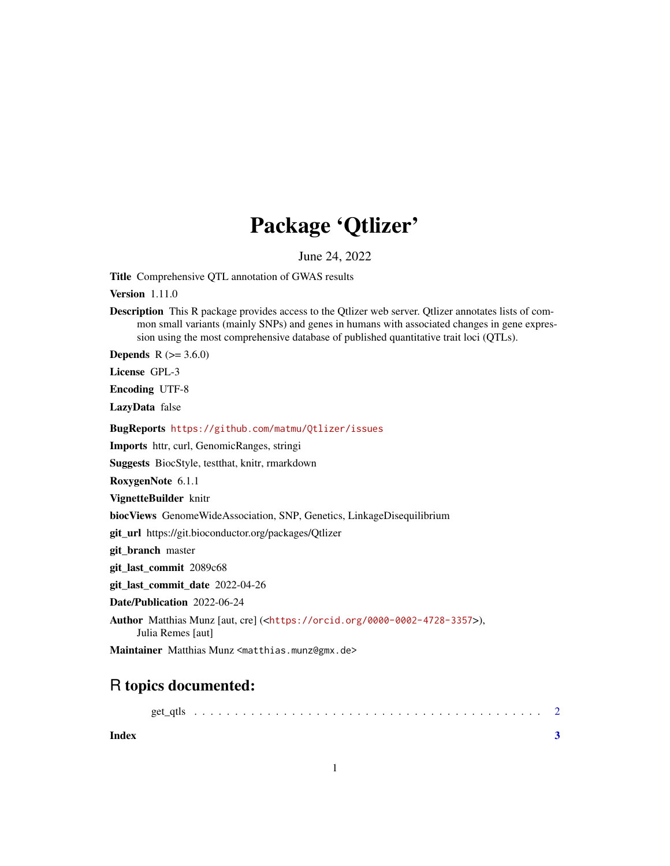## Package 'Qtlizer'

June 24, 2022

Title Comprehensive QTL annotation of GWAS results

Version 1.11.0

Description This R package provides access to the Qtlizer web server. Qtlizer annotates lists of common small variants (mainly SNPs) and genes in humans with associated changes in gene expression using the most comprehensive database of published quantitative trait loci (QTLs).

**Depends** R  $(>= 3.6.0)$ 

License GPL-3

Encoding UTF-8

LazyData false

BugReports <https://github.com/matmu/Qtlizer/issues>

Imports httr, curl, GenomicRanges, stringi

Suggests BiocStyle, testthat, knitr, rmarkdown

RoxygenNote 6.1.1

VignetteBuilder knitr

biocViews GenomeWideAssociation, SNP, Genetics, LinkageDisequilibrium

git\_url https://git.bioconductor.org/packages/Qtlizer

git\_branch master

git\_last\_commit 2089c68

git last commit date 2022-04-26

Date/Publication 2022-06-24

Author Matthias Munz [aut, cre] (<<https://orcid.org/0000-0002-4728-3357>>), Julia Remes [aut]

Maintainer Matthias Munz <matthias.munz@gmx.de>

### R topics documented:

|       | get atls |  |  |  |  |  |  |  |  |  |  |  |  |  |  |  |  |  |
|-------|----------|--|--|--|--|--|--|--|--|--|--|--|--|--|--|--|--|--|
| Index |          |  |  |  |  |  |  |  |  |  |  |  |  |  |  |  |  |  |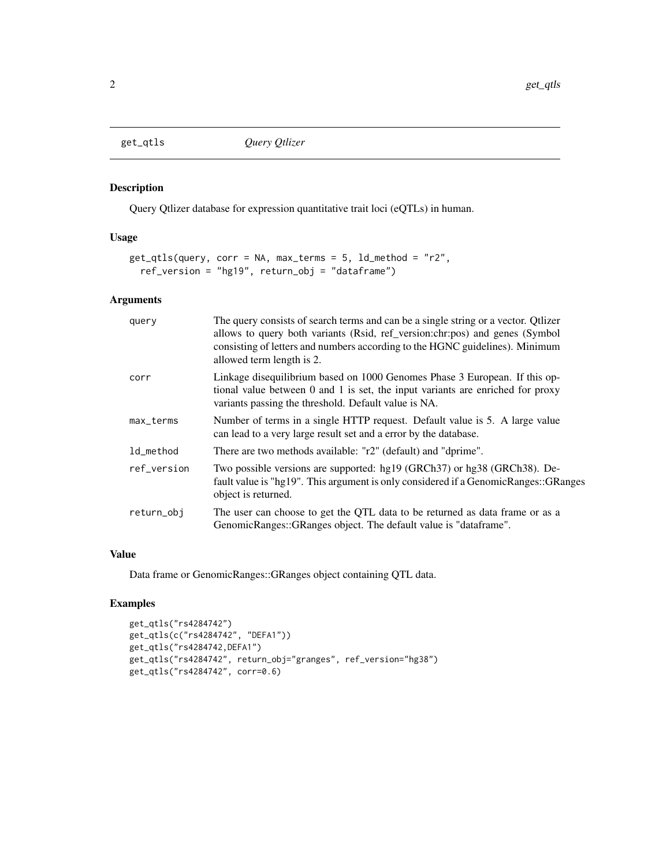<span id="page-1-0"></span>

#### Description

Query Qtlizer database for expression quantitative trait loci (eQTLs) in human.

#### Usage

```
get_qtls(query, corr = NA, max_terms = 5, ld_method = "r2",
 ref_version = "hg19", return_obj = "dataframe")
```
#### Arguments

| query       | The query consists of search terms and can be a single string or a vector. Qtlizer<br>allows to query both variants (Rsid, ref_version:chr:pos) and genes (Symbol<br>consisting of letters and numbers according to the HGNC guidelines). Minimum<br>allowed term length is 2. |
|-------------|--------------------------------------------------------------------------------------------------------------------------------------------------------------------------------------------------------------------------------------------------------------------------------|
| corr        | Linkage disequilibrium based on 1000 Genomes Phase 3 European. If this op-<br>tional value between 0 and 1 is set, the input variants are enriched for proxy<br>variants passing the threshold. Default value is NA.                                                           |
| max_terms   | Number of terms in a single HTTP request. Default value is 5. A large value<br>can lead to a very large result set and a error by the database.                                                                                                                                |
| ld_method   | There are two methods available: "r2" (default) and "dprime".                                                                                                                                                                                                                  |
| ref_version | Two possible versions are supported: hg19 (GRCh37) or hg38 (GRCh38). De-<br>fault value is "hg19". This argument is only considered if a Genomic Ranges: GRanges<br>object is returned.                                                                                        |
| return_obj  | The user can choose to get the QTL data to be returned as data frame or as a<br>GenomicRanges::GRanges object. The default value is "dataframe".                                                                                                                               |

#### Value

Data frame or GenomicRanges::GRanges object containing QTL data.

#### Examples

```
get_qtls("rs4284742")
get_qtls(c("rs4284742", "DEFA1"))
get_qtls("rs4284742,DEFA1")
get_qtls("rs4284742", return_obj="granges", ref_version="hg38")
get_qtls("rs4284742", corr=0.6)
```